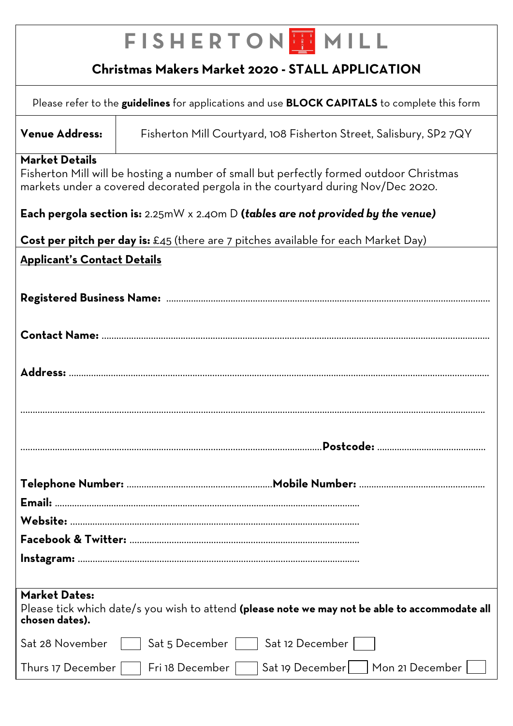| <b>FISHERTON HIMILL</b>                                                                                                                                                                             |                                                                                           |  |  |  |
|-----------------------------------------------------------------------------------------------------------------------------------------------------------------------------------------------------|-------------------------------------------------------------------------------------------|--|--|--|
| Christmas Makers Market 2020 - STALL APPLICATION                                                                                                                                                    |                                                                                           |  |  |  |
| Please refer to the guidelines for applications and use <b>BLOCK CAPITALS</b> to complete this form                                                                                                 |                                                                                           |  |  |  |
| <b>Venue Address:</b>                                                                                                                                                                               | Fisherton Mill Courtyard, 108 Fisherton Street, Salisbury, SP2 7QY                        |  |  |  |
| <b>Market Details</b><br>Fisherton Mill will be hosting a number of small but perfectly formed outdoor Christmas<br>markets under a covered decorated pergola in the courtyard during Nov/Dec 2020. |                                                                                           |  |  |  |
| Each pergola section is: $2.25mW \times 2.40m$ D (tables are not provided by the venue)                                                                                                             |                                                                                           |  |  |  |
|                                                                                                                                                                                                     | <b>Cost per pitch per day is:</b> £45 (there are 7 pitches available for each Market Day) |  |  |  |
| <b>Applicant's Contact Details</b>                                                                                                                                                                  |                                                                                           |  |  |  |
|                                                                                                                                                                                                     |                                                                                           |  |  |  |
|                                                                                                                                                                                                     |                                                                                           |  |  |  |
| Address:                                                                                                                                                                                            |                                                                                           |  |  |  |
|                                                                                                                                                                                                     |                                                                                           |  |  |  |
|                                                                                                                                                                                                     |                                                                                           |  |  |  |
|                                                                                                                                                                                                     |                                                                                           |  |  |  |
|                                                                                                                                                                                                     |                                                                                           |  |  |  |
|                                                                                                                                                                                                     |                                                                                           |  |  |  |
|                                                                                                                                                                                                     |                                                                                           |  |  |  |
|                                                                                                                                                                                                     |                                                                                           |  |  |  |
|                                                                                                                                                                                                     |                                                                                           |  |  |  |
|                                                                                                                                                                                                     |                                                                                           |  |  |  |
| <b>Market Dates:</b><br>Please tick which date/s you wish to attend (please note we may not be able to accommodate all<br>chosen dates).                                                            |                                                                                           |  |  |  |
| Sat 28 November                                                                                                                                                                                     | Sat 12 December  <br>Sat 5 December                                                       |  |  |  |
| Thurs 17 December                                                                                                                                                                                   | Mon 21 December<br>Fri 18 December<br>Sat 19 December                                     |  |  |  |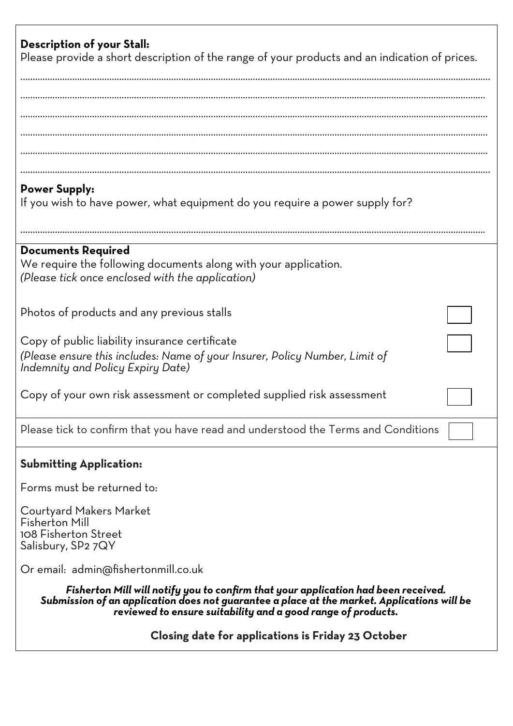| Description of your Stall:<br>Please provide a short description of the range of your products and an indication of prices.                                                                                                                       |  |  |  |  |
|---------------------------------------------------------------------------------------------------------------------------------------------------------------------------------------------------------------------------------------------------|--|--|--|--|
|                                                                                                                                                                                                                                                   |  |  |  |  |
| <b>Power Supply:</b><br>If you wish to have power, what equipment do you require a power supply for?                                                                                                                                              |  |  |  |  |
| <b>Documents Required</b><br>We require the following documents along with your application.<br>(Please tick once enclosed with the application)                                                                                                  |  |  |  |  |
| Photos of products and any previous stalls                                                                                                                                                                                                        |  |  |  |  |
| Copy of public liability insurance certificate<br>(Please ensure this includes: Name of your Insurer, Policy Number, Limit of<br>Indemnity and Policy Expiry Date)                                                                                |  |  |  |  |
| Copy of your own risk assessment or completed supplied risk assessment                                                                                                                                                                            |  |  |  |  |
| Please tick to confirm that you have read and understood the Terms and Conditions                                                                                                                                                                 |  |  |  |  |
| <b>Submitting Application:</b>                                                                                                                                                                                                                    |  |  |  |  |
| Forms must be returned to:                                                                                                                                                                                                                        |  |  |  |  |
| Courtyard Makers Market<br><b>Fisherton Mill</b><br>108 Fisherton Street<br>Salisbury, SP2 7QY                                                                                                                                                    |  |  |  |  |
| Or email: admin@fishertonmill.co.uk                                                                                                                                                                                                               |  |  |  |  |
| Fisherton Mill will notify you to confirm that your application had been received.<br>Submission of an application does not guarantee a place at the market. Applications will be<br>reviewed to ensure suitability and a good range of products. |  |  |  |  |
| Closing date for applications is Friday 23 October                                                                                                                                                                                                |  |  |  |  |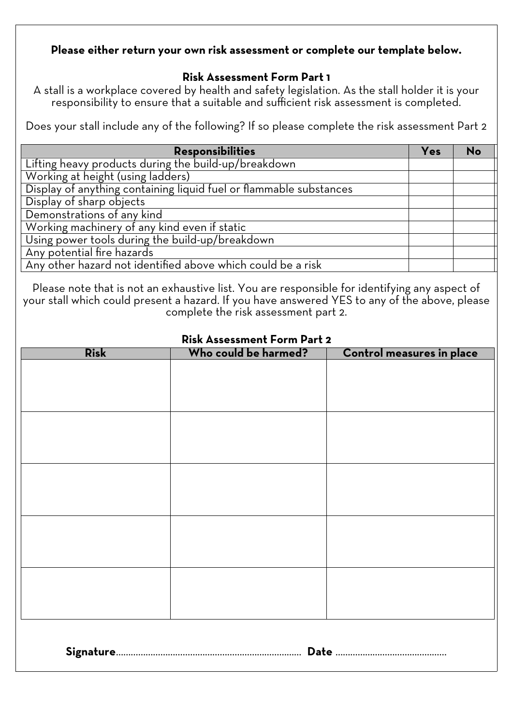#### **Please either return your own risk assessment or complete our template below.**

#### **Risk Assessment Form Part 1**

A stall is a workplace covered by health and safety legislation. As the stall holder it is your responsibility to ensure that a suitable and sufficient risk assessment is completed.

Does your stall include any of the following? If so please complete the risk assessment Part 2

| <b>Responsibilities</b>                                            | Yes | <b>No</b> |
|--------------------------------------------------------------------|-----|-----------|
| Lifting heavy products during the build-up/breakdown               |     |           |
| Working at height (using ladders)                                  |     |           |
| Display of anything containing liquid fuel or flammable substances |     |           |
| Display of sharp objects                                           |     |           |
| Demonstrations of any kind                                         |     |           |
| Working machinery of any kind even if static                       |     |           |
| Using power tools during the build-up/breakdown                    |     |           |
| Any potential fire hazards                                         |     |           |
| Any other hazard not identified above which could be a risk        |     |           |

Please note that is not an exhaustive list. You are responsible for identifying any aspect of your stall which could present a hazard. If you have answered YES to any of the above, please complete the risk assessment part 2.

| <b>Risk Assessment Form Part 2</b> |                      |                           |  |  |  |  |
|------------------------------------|----------------------|---------------------------|--|--|--|--|
| <b>Risk</b>                        | Who could be harmed? | Control measures in place |  |  |  |  |
|                                    |                      |                           |  |  |  |  |
|                                    |                      |                           |  |  |  |  |
|                                    |                      |                           |  |  |  |  |
|                                    |                      |                           |  |  |  |  |
|                                    |                      |                           |  |  |  |  |
|                                    |                      |                           |  |  |  |  |
|                                    |                      |                           |  |  |  |  |
|                                    |                      |                           |  |  |  |  |
|                                    |                      |                           |  |  |  |  |
|                                    |                      |                           |  |  |  |  |
|                                    |                      |                           |  |  |  |  |
|                                    |                      |                           |  |  |  |  |
|                                    |                      |                           |  |  |  |  |
|                                    |                      |                           |  |  |  |  |
|                                    |                      |                           |  |  |  |  |
|                                    |                      |                           |  |  |  |  |
|                                    |                      |                           |  |  |  |  |
|                                    |                      |                           |  |  |  |  |
|                                    |                      |                           |  |  |  |  |
|                                    |                      |                           |  |  |  |  |
|                                    |                      |                           |  |  |  |  |
|                                    |                      |                           |  |  |  |  |
|                                    |                      |                           |  |  |  |  |
|                                    |                      |                           |  |  |  |  |
|                                    |                      |                           |  |  |  |  |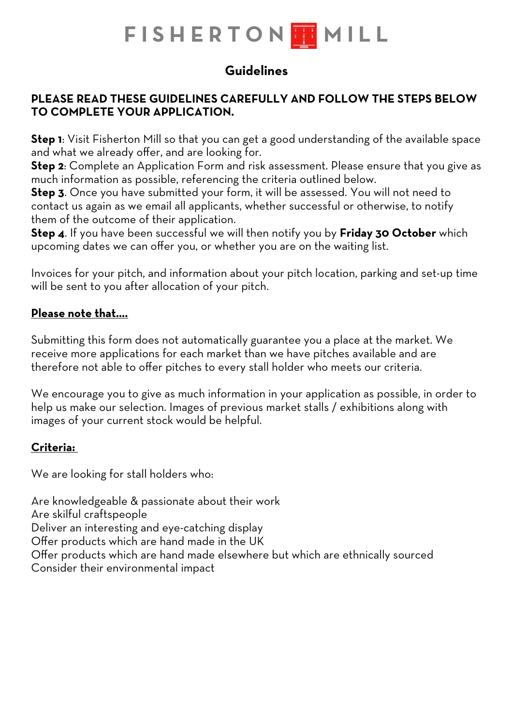# **FISHERTON H MILL**

# **Guidelines**

# **PLEASE READ THESE GUIDELINES CAREFULLY AND FOLLOW THE STEPS BELOW TO COMPLETE YOUR APPLICATION.**

**Step 1**: Visit Fisherton Mill so that you can get a good understanding of the available space and what we already offer, and are looking for.

**Step 2**: Complete an [Application Fo](http://www.thefromeindependent.org.uk/trade-with-us/application-to-trade/)rm and risk assessment. Please ensure that you give as much information as possible, referencing the criteria outlined below.

**Step 3**. Once you have submitted your form, it will be assessed. You will not need to contact us again as we email all applicants, whether successful or otherwise, to notify them of the outcome of their application.

**Step 4**. If you have been successful we will then notify you by **Friday 30 October** which upcoming dates we can offer you, or whether you are on the waiting list.

Invoices for your pitch, and information about your pitch location, parking and set-up time will be sent to you after allocation of your pitch.

# **Please note that….**

Submitting this form does not automatically guarantee you a place at the market. We receive more applications for each market than we have pitches available and are therefore not able to offer pitches to every stall holder who meets our criteria.

We encourage you to give as much information in your application as possible, in order to help us make our selection. Images of previous market stalls / exhibitions along with images of your current stock would be helpful.

# **Criteria:**

We are looking for stall holders who:

Are knowledgeable & passionate about their work Are skilful craftspeople Deliver an interesting and eye-catching display Offer products which are hand made in the UK Offer products which are hand made elsewhere but which are ethnically sourced Consider their environmental impact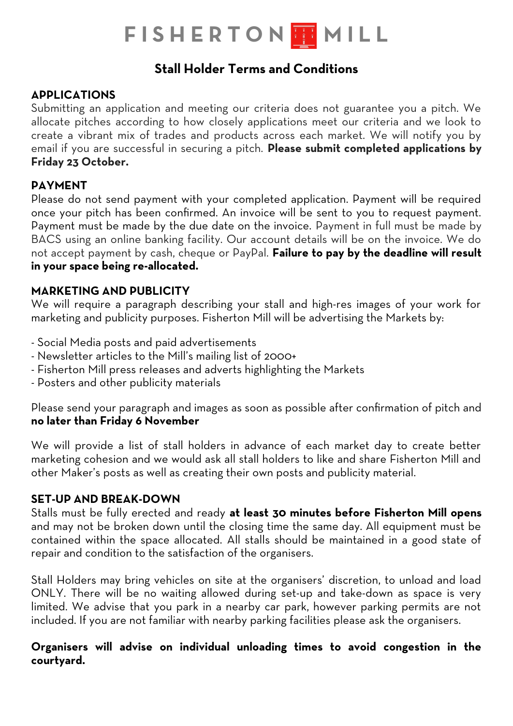# **FISHERTON H MILL**

# **Stall Holder Terms and Conditions**

# **APPLICATIONS**

Submitting an application and meeting our criteria does not guarantee you a pitch. We allocate pitches according to how closely applications meet our criteria and we look to create a vibrant mix of trades and products across each market. We will notify you by email if you are successful in securing a pitch. **Please submit completed applications by Friday 23 October.** 

# **PAYMENT**

Please do not send payment with your completed application. Payment will be required once your pitch has been confirmed. An invoice will be sent to you to request payment. Payment must be made by the due date on the invoice. Payment in full must be made by BACS using an online banking facility. Our account details will be on the invoice. We do not accept payment by cash, cheque or PayPal. **Failure to pay by the deadline will result in your space being re-allocated.** 

# **MARKETING AND PUBLICITY**

We will require a paragraph describing your stall and high-res images of your work for marketing and publicity purposes. Fisherton Mill will be advertising the Markets by:

- Social Media posts and paid advertisements
- Newsletter articles to the Mill's mailing list of 2000+
- Fisherton Mill press releases and adverts highlighting the Markets
- Posters and other publicity materials

Please send your paragraph and images as soon as possible after confirmation of pitch and **no later than Friday 6 November**

We will provide a list of stall holders in advance of each market day to create better marketing cohesion and we would ask all stall holders to like and share Fisherton Mill and other Maker's posts as well as creating their own posts and publicity material.

# **SET-UP AND BREAK-DOWN**

Stalls must be fully erected and ready **at least 30 minutes before Fisherton Mill opens** and may not be broken down until the closing time the same day. All equipment must be contained within the space allocated. All stalls should be maintained in a good state of repair and condition to the satisfaction of the organisers.

Stall Holders may bring vehicles on site at the organisers' discretion, to unload and load ONLY. There will be no waiting allowed during set-up and take-down as space is very limited. We advise that you park in a nearby car park, however parking permits are not included. If you are not familiar with nearby parking facilities please ask the organisers.

#### **Organisers will advise on individual unloading times to avoid congestion in the courtyard.**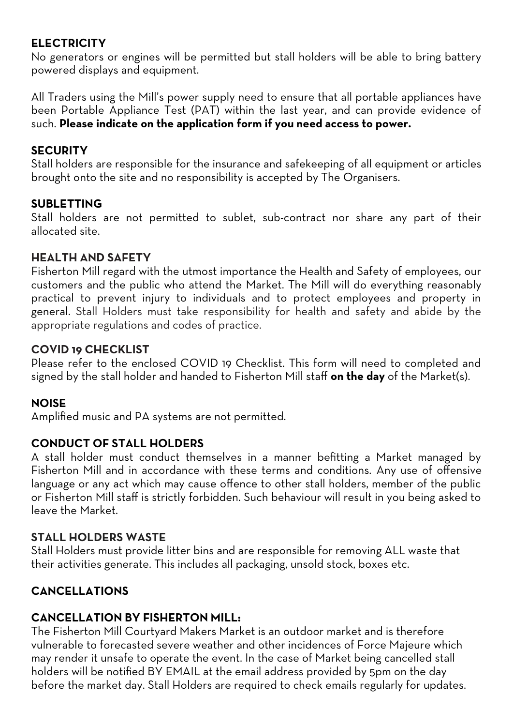# **ELECTRICITY**

No generators or engines will be permitted but stall holders will be able to bring battery powered displays and equipment.

All Traders using the Mill's power supply need to ensure that all portable appliances have been Portable Appliance Test (PAT) within the last year, and can provide evidence of such. **Please indicate on the application form if you need access to power.** 

# **SECURITY**

Stall holders are responsible for the insurance and safekeeping of all equipment or articles brought onto the site and no responsibility is accepted by The Organisers.

# **SUBLETTING**

Stall holders are not permitted to sublet, sub-contract nor share any part of their allocated site.

# **HEALTH AND SAFETY**

Fisherton Mill regard with the utmost importance the Health and Safety of employees, our customers and the public who attend the Market. The Mill will do everything reasonably practical to prevent injury to individuals and to protect employees and property in general. Stall Holders must take responsibility for health and safety and abide by the appropriate regulations and codes of practice.

#### **COVID 19 CHECKLIST**

Please refer to the enclosed COVID 19 Checklist. This form will need to completed and signed by the stall holder and handed to Fisherton Mill staff **on the day** of the Market(s).

# **NOISE**

Amplified music and PA systems are not permitted.

# **CONDUCT OF STALL HOLDERS**

A stall holder must conduct themselves in a manner befitting a Market managed by Fisherton Mill and in accordance with these terms and conditions. Any use of offensive language or any act which may cause offence to other stall holders, member of the public or Fisherton Mill staff is strictly forbidden. Such behaviour will result in you being asked to leave the Market.

#### **STALL HOLDERS WASTE**

Stall Holders must provide litter bins and are responsible for removing ALL waste that their activities generate. This includes all packaging, unsold stock, boxes etc.

# **CANCELLATIONS**

# **CANCELLATION BY FISHERTON MILL:**

The Fisherton Mill Courtyard Makers Market is an outdoor market and is therefore vulnerable to forecasted severe weather and other incidences of Force Majeure which may render it unsafe to operate the event. In the case of Market being cancelled stall holders will be notified BY EMAIL at the email address provided by 5pm on the day before the market day. Stall Holders are required to check emails regularly for updates.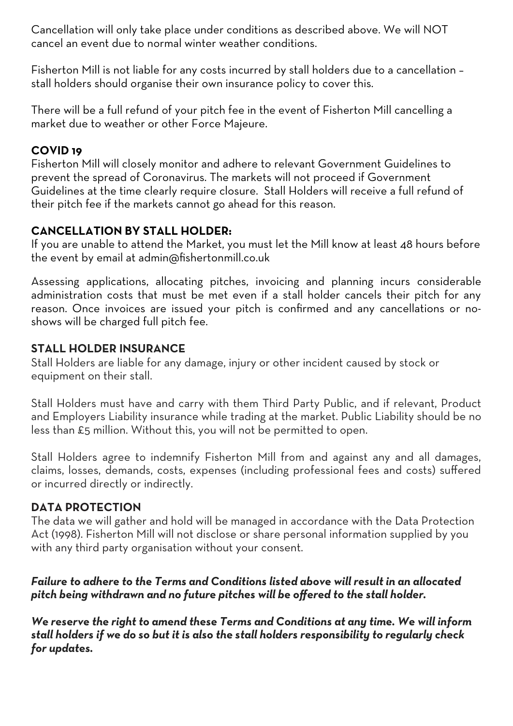Cancellation will only take place under conditions as described above. We will NOT cancel an event due to normal winter weather conditions.

Fisherton Mill is not liable for any costs incurred by stall holders due to a cancellation – stall holders should organise their own insurance policy to cover this.

There will be a full refund of your pitch fee in the event of Fisherton Mill cancelling a market due to weather or other Force Majeure.

# **COVID 19**

Fisherton Mill will closely monitor and adhere to relevant Government Guidelines to prevent the spread of Coronavirus. The markets will not proceed if Government Guidelines at the time clearly require closure. Stall Holders will receive a full refund of their pitch fee if the markets cannot go ahead for this reason.

# **CANCELLATION BY STALL HOLDER:**

If you are unable to attend the Market, you must let the Mill know at least 48 hours before the event by email at admin@fishertonmill.co.uk

Assessing applications, allocating pitches, invoicing and planning incurs considerable administration costs that must be met even if a stall holder cancels their pitch for any reason. Once invoices are issued your pitch is confirmed and any cancellations or noshows will be charged full pitch fee.

# **STALL HOLDER INSURANCE**

Stall Holders are liable for any damage, injury or other incident caused by stock or equipment on their stall.

Stall Holders must have and carry with them Third Party Public, and if relevant, Product and Employers Liability insurance while trading at the market. Public Liability should be no less than £5 million. Without this, you will not be permitted to open.

Stall Holders agree to indemnify Fisherton Mill from and against any and all damages, claims, losses, demands, costs, expenses (including professional fees and costs) suffered or incurred directly or indirectly.

# **DATA PROTECTION**

The data we will gather and hold will be managed in accordance with the Data Protection Act (1998). Fisherton Mill will not disclose or share personal information supplied by you with any third party organisation without your consent.

# *Failure to adhere to the Terms and Conditions listed above will result in an allocated pitch being withdrawn and no future pitches will be offered to the stall holder.*

*We reserve the right to amend these Terms and Conditions at any time. We will inform stall holders if we do so but it is also the stall holders responsibility to regularly check for updates.*